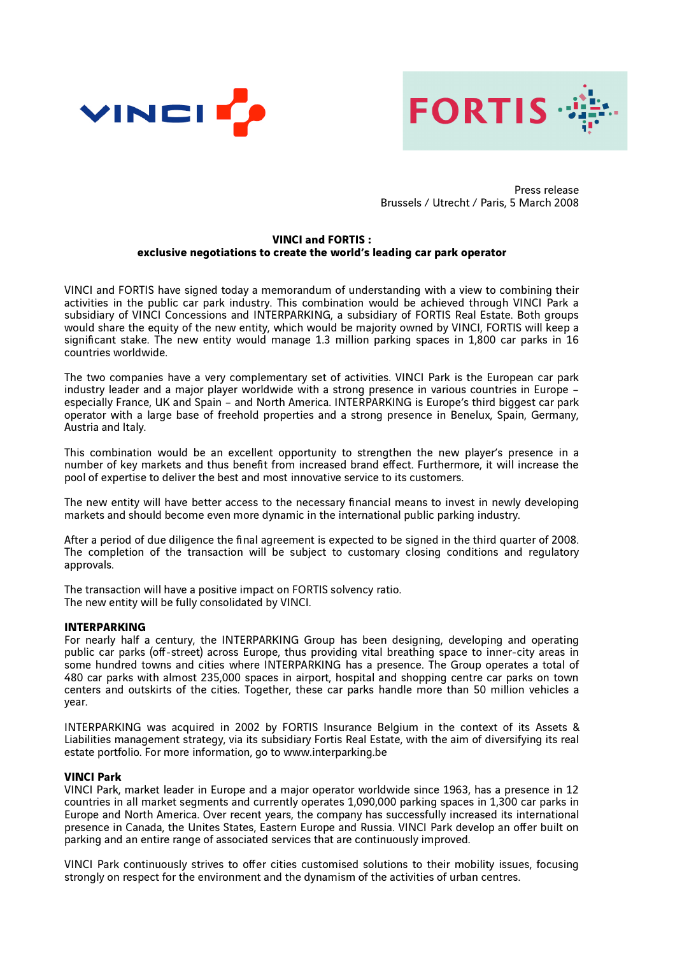



Press release Brussels / Utrecht / Paris, 5 March 2008

#### **VINCI and FORTIS : exclusive negotiations to create the world's leading car park operator**

VINCI and FORTIS have signed today a memorandum of understanding with a view to combining their activities in the public car park industry. This combination would be achieved through VINCI Park a subsidiary of VINCI Concessions and INTERPARKING, a subsidiary of FORTIS Real Estate. Both groups would share the equity of the new entity, which would be majority owned by VINCI, FORTIS will keep a significant stake. The new entity would manage 1.3 million parking spaces in 1,800 car parks in 16 countries worldwide.

The two companies have a very complementary set of activities. VINCI Park is the European car park industry leader and a major player worldwide with a strong presence in various countries in Europe – especially France, UK and Spain – and North America. INTERPARKING is Europe's third biggest car park operator with a large base of freehold properties and a strong presence in Benelux, Spain, Germany, Austria and Italy.

This combination would be an excellent opportunity to strengthen the new player's presence in a number of key markets and thus benefit from increased brand effect. Furthermore, it will increase the pool of expertise to deliver the best and most innovative service to its customers.

The new entity will have better access to the necessary financial means to invest in newly developing markets and should become even more dynamic in the international public parking industry.

After a period of due diligence the final agreement is expected to be signed in the third quarter of 2008. The completion of the transaction will be subject to customary closing conditions and regulatory approvals.

The transaction will have a positive impact on FORTIS solvency ratio. The new entity will be fully consolidated by VINCI.

### **INTERPARKING**

For nearly half a century, the INTERPARKING Group has been designing, developing and operating public car parks (off-street) across Europe, thus providing vital breathing space to inner-city areas in some hundred towns and cities where INTERPARKING has a presence. The Group operates a total of 480 car parks with almost 235,000 spaces in airport, hospital and shopping centre car parks on town centers and outskirts of the cities. Together, these car parks handle more than 50 million vehicles a year.

INTERPARKING was acquired in 2002 by FORTIS Insurance Belgium in the context of its Assets & Liabilities management strategy, via its subsidiary Fortis Real Estate, with the aim of diversifying its real estate portfolio. For more information, go to www.interparking.be

#### **VINCI Park**

VINCI Park, market leader in Europe and a major operator worldwide since 1963, has a presence in 12 countries in all market segments and currently operates 1,090,000 parking spaces in 1,300 car parks in Europe and North America. Over recent years, the company has successfully increased its international presence in Canada, the Unites States, Eastern Europe and Russia. VINCI Park develop an offer built on parking and an entire range of associated services that are continuously improved.

VINCI Park continuously strives to offer cities customised solutions to their mobility issues, focusing strongly on respect for the environment and the dynamism of the activities of urban centres.